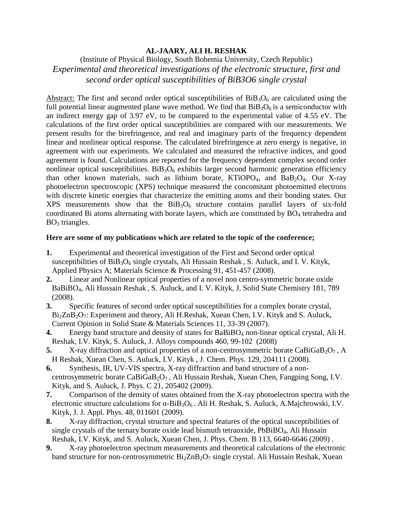## **AL-JAARY, ALI H. RESHAK**

(Institute of Physical Biology, South Bohemia University, Czech Republic) *Experimental and theoretical investigations of the electronic structure, first and second order optical susceptibilities of BiB3O6 single crystal*

Abstract: The first and second order optical susceptibilities of  $BiB_3O_6$  are calculated using the full potential linear augmented plane wave method. We find that  $BiB_3O_6$  is a semiconductor with an indirect energy gap of 3*.*97 eV, to be compared to the experimental value of 4*.*55 eV. The calculations of the first order optical susceptibilities are compared with our measurements. We present results for the birefringence, and real and imaginary parts of the frequency dependent linear and nonlinear optical response. The calculated birefringence at zero energy is negative, in agreement with our experiments. We calculated and measured the refractive indices, and good agreement is found. Calculations are reported for the frequency dependent complex second order nonlinear optical susceptibilities.  $BiB_3O_6$  exhibits larger second harmonic generation efficiency than other known materials, such as lithium borate,  $KTiOPO<sub>4</sub>$ , and  $BaB<sub>2</sub>O<sub>4</sub>$ . Our X-ray photoelectron spectroscopic (XPS) technique measured the concomitant photoemitted electrons with discrete kinetic energies that characterize the emitting atoms and their bonding states. Our XPS measurements show that the  $BiB_3O_6$  structure contains parallel layers of six-fold coordinated Bi atoms alternating with borate layers, which are constituted by  $BO<sub>4</sub>$  tetrahedra and  $BO<sub>3</sub>$  triangles.

## **Here are some of my publications which are related to the topic of the conference;**

- **1.** Experimental and theoretical investigation of the First and Second order optical susceptibilities of  $BiB_3O_6$  single crystals, Ali Hussain Reshak, S. Auluck, and I. V. Kityk, Applied Physics A; Materials Science & Processing 91, 451-457 (2008).
- **2.** Linear and Nonlinear optical properties of a novel non centro-symmetric borate oxide BaBiBO4, Ali Hussain Reshak , S. Auluck, and I. V. Kityk, J. Solid State Chemistry 181, 789 (2008).
- **3.** Specific features of second order optical susceptibilities for a complex borate crystal, Bi<sub>2</sub>ZnB<sub>2</sub>O<sub>7</sub>: Experiment and theory, Ali H.Reshak, Xuean Chen, I.V. Kityk and S. Auluck, Current Opinion in Solid State & Materials Sciences 11, 33-39 (2007).
- **4.** Energy band structure and density of states for BaBiBO<sub>4</sub> non-linear optical crystal, Ali H. Reshak, I.V. Kityk, S. Auluck, J. Alloys compounds 460, 99-102 (2008)
- **5.** X-ray diffraction and optical properties of a non-centrosymmetric borate CaBiGaB<sub>2</sub>O<sub>7</sub>, A H Reshak, Xuean Chen, S. Auluck, I.V. Kityk , J. Chem. Phys. 129, 204111 (2008).
- **6.** Synthesis, IR, UV-VIS spectra, X-ray diffraction and band structure of a noncentrosymmetric borate CaBiGaB<sub>2</sub>O<sub>7</sub>, Ali Hussain Reshak, Xuean Chen, Fangping Song, I.V. Kityk, and S. Auluck, J. Phys. C 21, 205402 (2009).
- **7.** Comparison of the density of states obtained from the X-ray photoelectron spectra with the electronic structure calculations for  $\alpha$ -BiB<sub>3</sub>O<sub>6</sub>. Ali H. Reshak, S. Auluck, A.Majchrowski, I.V. Kityk, J. J. Appl. Phys. 48, 011601 (2009).
- **8.** X-ray diffraction, crystal structure and spectral features of the optical susceptibilities of single crystals of the ternary borate oxide lead bismuth tetraoxide,  $PbBiBO<sub>4</sub>$ , Ali Hussain Reshak, I.V. Kityk, and S. Auluck, Xuean Chen, J. Phys. Chem. B 113, 6640-6646 (2009) .
- **9.** X-ray photoelectron spectrum measurements and theoretical calculations of the electronic band structure for non-centrosymmetric  $Bi_2ZnB_2O_7$  single crystal. Ali Hussain Reshak, Xuean